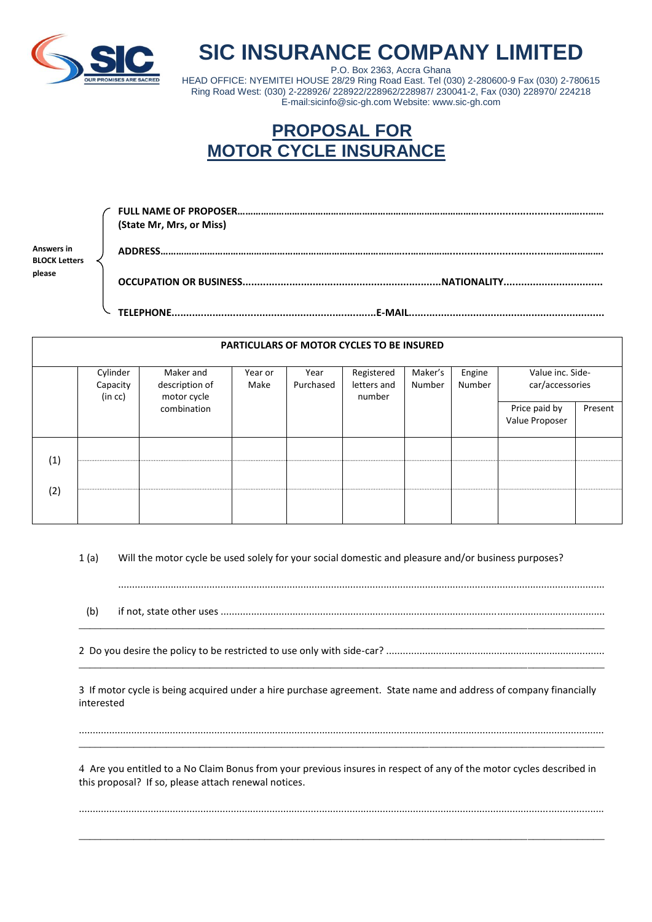

## **SIC INSURANCE COMPANY LIMITED**

P.O. Box 2363, Accra Ghana HEAD OFFICE: NYEMITEI HOUSE 28/29 Ring Road East. Tel (030) 2-280600-9 Fax (030) 2-780615 Ring Road West: (030) 2-228926/ 228922/228962/228987/ 230041-2, Fax (030) 228970/ 224218 E-mail:sicinfo@sic-gh.com Website: www.sic-gh.com

## **PROPOSAL FOR MOTOR CYCLE INSURANCE**

|                                    | (State Mr, Mrs, or Miss) |
|------------------------------------|--------------------------|
| Answers in<br><b>BLOCK Letters</b> |                          |
| please                             | .NATIONALITY             |
|                                    |                          |

| <b>PARTICULARS OF MOTOR CYCLES TO BE INSURED</b> |                                 |                                            |                 |                   |                                     |                   |                  |                                     |         |
|--------------------------------------------------|---------------------------------|--------------------------------------------|-----------------|-------------------|-------------------------------------|-------------------|------------------|-------------------------------------|---------|
|                                                  | Cylinder<br>Capacity<br>(in cc) | Maker and<br>description of<br>motor cycle | Year or<br>Make | Year<br>Purchased | Registered<br>letters and<br>number | Maker's<br>Number | Engine<br>Number | Value inc. Side-<br>car/accessories |         |
|                                                  |                                 | combination                                |                 |                   |                                     |                   |                  | Price paid by<br>Value Proposer     | Present |
| (1)                                              |                                 |                                            |                 |                   |                                     |                   |                  |                                     |         |
| (2)                                              |                                 |                                            |                 |                   |                                     |                   |                  |                                     |         |

1 (a) Will the motor cycle be used solely for your social domestic and pleasure and/or business purposes?

 (b) if not, state other uses ........................................................................................................................................... \_\_\_\_\_\_\_\_\_\_\_\_\_\_\_\_\_\_\_\_\_\_\_\_\_\_\_\_\_\_\_\_\_\_\_\_\_\_\_\_\_\_\_\_\_\_\_\_\_\_\_\_\_\_\_\_\_\_\_\_\_\_\_\_\_\_\_\_\_\_\_\_\_\_\_\_\_\_\_\_\_\_\_\_\_\_\_\_\_\_\_\_\_\_\_\_

2 Do you desire the policy to be restricted to use only with side-car? ............................................................................... \_\_\_\_\_\_\_\_\_\_\_\_\_\_\_\_\_\_\_\_\_\_\_\_\_\_\_\_\_\_\_\_\_\_\_\_\_\_\_\_\_\_\_\_\_\_\_\_\_\_\_\_\_\_\_\_\_\_\_\_\_\_\_\_\_\_\_\_\_\_\_\_\_\_\_\_\_\_\_\_\_\_\_\_\_\_\_\_\_\_\_\_\_\_\_\_

3 If motor cycle is being acquired under a hire purchase agreement. State name and address of company financially interested

.............................................................................................................................................................................................. \_\_\_\_\_\_\_\_\_\_\_\_\_\_\_\_\_\_\_\_\_\_\_\_\_\_\_\_\_\_\_\_\_\_\_\_\_\_\_\_\_\_\_\_\_\_\_\_\_\_\_\_\_\_\_\_\_\_\_\_\_\_\_\_\_\_\_\_\_\_\_\_\_\_\_\_\_\_\_\_\_\_\_\_\_\_\_\_\_\_\_\_\_\_\_\_

4 Are you entitled to a No Claim Bonus from your previous insures in respect of any of the motor cycles described in this proposal? If so, please attach renewal notices.

..............................................................................................................................................................................................

\_\_\_\_\_\_\_\_\_\_\_\_\_\_\_\_\_\_\_\_\_\_\_\_\_\_\_\_\_\_\_\_\_\_\_\_\_\_\_\_\_\_\_\_\_\_\_\_\_\_\_\_\_\_\_\_\_\_\_\_\_\_\_\_\_\_\_\_\_\_\_\_\_\_\_\_\_\_\_\_\_\_\_\_\_\_\_\_\_\_\_\_\_\_\_\_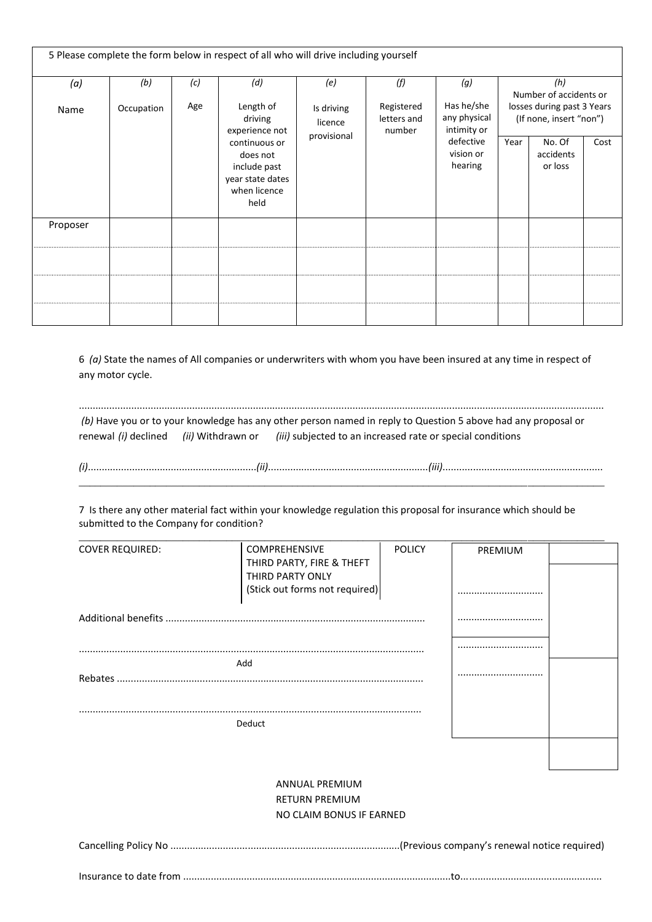| 5 Please complete the form below in respect of all who will drive including yourself |            |     |                                                                                                                                 |                                      |                                     |                                                                                |                                                       |                                |      |
|--------------------------------------------------------------------------------------|------------|-----|---------------------------------------------------------------------------------------------------------------------------------|--------------------------------------|-------------------------------------|--------------------------------------------------------------------------------|-------------------------------------------------------|--------------------------------|------|
| (a)                                                                                  | (b)        | (c) | (d)                                                                                                                             | (e)                                  | (f)                                 | (q)                                                                            |                                                       | (h)<br>Number of accidents or  |      |
| Name                                                                                 | Occupation | Age | Length of<br>driving<br>experience not<br>continuous or<br>does not<br>include past<br>year state dates<br>when licence<br>held | Is driving<br>licence<br>provisional | Registered<br>letters and<br>number | Has he/she<br>any physical<br>intimity or<br>defective<br>vision or<br>hearing | losses during past 3 Years<br>(If none, insert "non") |                                |      |
|                                                                                      |            |     |                                                                                                                                 |                                      |                                     |                                                                                | Year                                                  | No. Of<br>accidents<br>or loss | Cost |
| Proposer                                                                             |            |     |                                                                                                                                 |                                      |                                     |                                                                                |                                                       |                                |      |
|                                                                                      |            |     |                                                                                                                                 |                                      |                                     |                                                                                |                                                       |                                |      |
|                                                                                      |            |     |                                                                                                                                 |                                      |                                     |                                                                                |                                                       |                                |      |
|                                                                                      |            |     |                                                                                                                                 |                                      |                                     |                                                                                |                                                       |                                |      |

6 *(a)* State the names of All companies or underwriters with whom you have been insured at any time in respect of any motor cycle.

.............................................................................................................................................................................................. *(b)* Have you or to your knowledge has any other person named in reply to Question 5 above had any proposal or renewal *(i)* declined *(ii)* Withdrawn or *(iii)* subjected to an increased rate or special conditions

*(i)*.............................................................*(ii)*..........................................................*(iii)*.......................................................... \_\_\_\_\_\_\_\_\_\_\_\_\_\_\_\_\_\_\_\_\_\_\_\_\_\_\_\_\_\_\_\_\_\_\_\_\_\_\_\_\_\_\_\_\_\_\_\_\_\_\_\_\_\_\_\_\_\_\_\_\_\_\_\_\_\_\_\_\_\_\_\_\_\_\_\_\_\_\_\_\_\_\_\_\_\_\_\_\_\_\_\_\_\_\_\_

7 Is there any other material fact within your knowledge regulation this proposal for insurance which should be submitted to the Company for condition?

| <b>COVER REQUIRED:</b> | COMPREHENSIVE                  | <b>POLICY</b> | PREMIUM |  |
|------------------------|--------------------------------|---------------|---------|--|
|                        | THIRD PARTY, FIRE & THEFT      |               |         |  |
|                        | THIRD PARTY ONLY               |               |         |  |
|                        | (Stick out forms not required) |               |         |  |
|                        |                                |               |         |  |
|                        |                                |               |         |  |
|                        |                                |               |         |  |
|                        | Add                            |               |         |  |
|                        |                                |               |         |  |
|                        |                                |               |         |  |
|                        |                                |               |         |  |
|                        |                                |               |         |  |
|                        | Deduct                         |               |         |  |
|                        |                                |               |         |  |
|                        |                                |               |         |  |
|                        | <b>ANNUAL PREMIUM</b>          |               |         |  |
|                        | <b>RETURN PREMIUM</b>          |               |         |  |
|                        | NO CLAIM BONUS IF EARNED       |               |         |  |
|                        |                                |               |         |  |
|                        |                                |               |         |  |

Insurance to date from .................................................................................................to...................................................